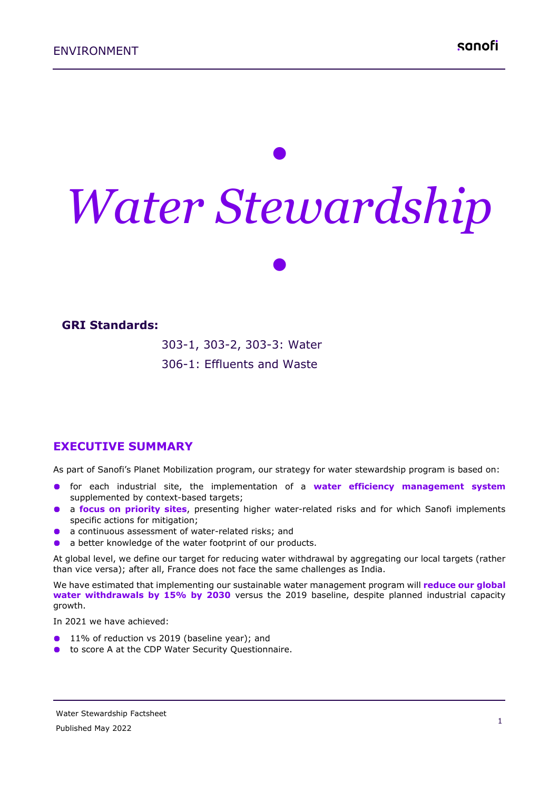# *• Water Stewardship*

*•*

#### **GRI Standards:**

303-1, 303-2, 303-3: Water 306-1: Effluents and Waste

**EXECUTIVE SUMMARY**

As part of Sanofi's Planet Mobilization program, our strategy for water stewardship program is based on:

- for each industrial site, the implementation of a **water efficiency management system** supplemented by context-based targets;
- a **focus on priority sites**, presenting higher water-related risks and for which Sanofi implements specific actions for mitigation;
- a continuous assessment of water-related risks; and
- a better knowledge of the water footprint of our products.

At global level, we define our target for reducing water withdrawal by aggregating our local targets (rather than vice versa); after all, France does not face the same challenges as India.

We have estimated that implementing our sustainable water management program will **reduce our global water withdrawals by 15% by 2030** versus the 2019 baseline, despite planned industrial capacity growth.

In 2021 we have achieved:

- 11% of reduction vs 2019 (baseline year); and
- **to score A at the CDP Water Security Questionnaire.**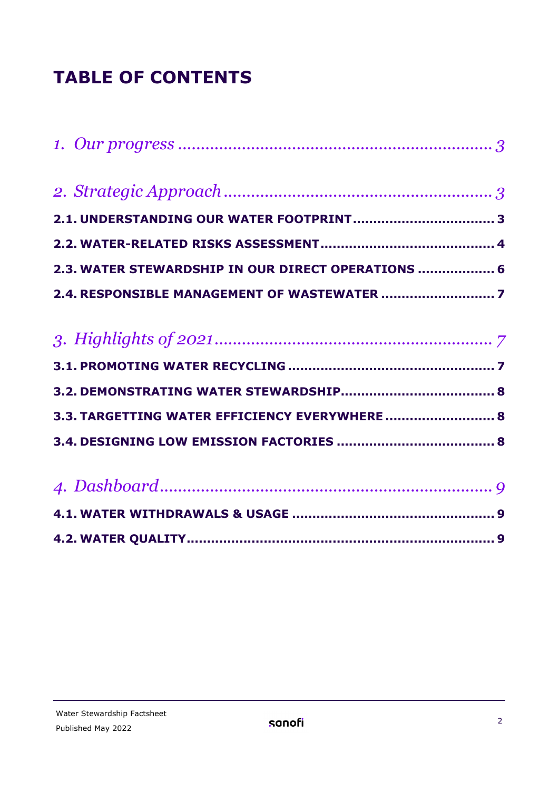# **TABLE OF CONTENTS**

| 2.3. WATER STEWARDSHIP IN OUR DIRECT OPERATIONS  6 |
|----------------------------------------------------|
|                                                    |
|                                                    |
|                                                    |
|                                                    |
|                                                    |
| 3.3. TARGETTING WATER EFFICIENCY EVERYWHERE  8     |
|                                                    |
|                                                    |
|                                                    |
|                                                    |
|                                                    |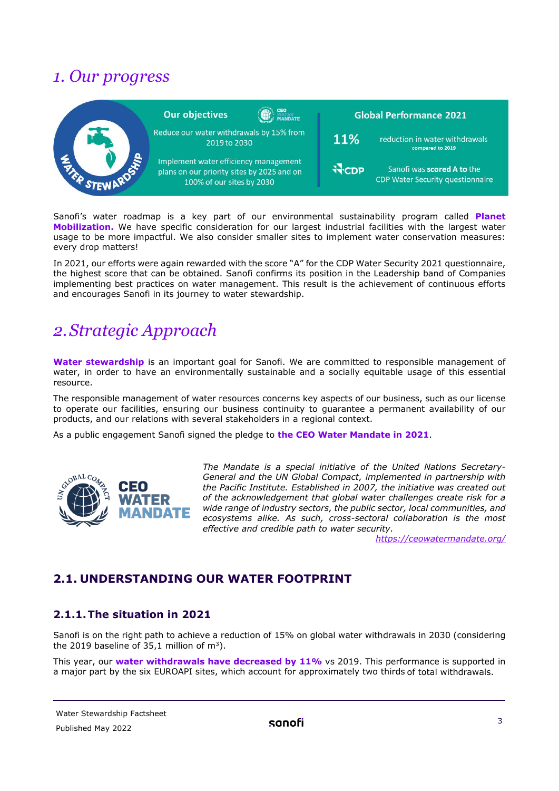# <span id="page-2-0"></span>*1. Our progress*

|               | <b>Our objectives</b>                                                                                            | <b>MANDATE</b> |              | <b>Global Performance 2021</b>                                        |  |
|---------------|------------------------------------------------------------------------------------------------------------------|----------------|--------------|-----------------------------------------------------------------------|--|
|               | Reduce our water withdrawals by 15% from<br>2019 to 2030                                                         |                | 11%          | reduction in water withdrawals<br>compared to 2019                    |  |
| <b>DIXXID</b> | Implement water efficiency management<br>plans on our priority sites by 2025 and on<br>100% of our sites by 2030 |                | <b>N</b> CDP | Sanofi was scored A to the<br><b>CDP Water Security questionnaire</b> |  |

Sanofi's water roadmap is a key part of our environmental sustainability program called **Planet Mobilization.** We have specific consideration for our largest industrial facilities with the largest water usage to be more impactful. We also consider smaller sites to implement water conservation measures: every drop matters!

In 2021, our efforts were again rewarded with the score "A" for the CDP Water Security 2021 questionnaire, the highest score that can be obtained. Sanofi confirms its position in the Leadership band of Companies implementing best practices on water management. This result is the achievement of continuous efforts and encourages Sanofi in its journey to water stewardship.

# <span id="page-2-1"></span>*2.Strategic Approach*

Water stewardship is an important goal for Sanofi. We are committed to responsible management of water, in order to have an environmentally sustainable and a socially equitable usage of this essential resource.

The responsible management of water resources concerns key aspects of our business, such as our license to operate our facilities, ensuring our business continuity to guarantee a permanent availability of our products, and our relations with several stakeholders in a regional context.

As a public engagement Sanofi signed the pledge to **the CEO Water Mandate in 2021**.



*The Mandate is a special initiative of the United Nations Secretary-General and the UN Global Compact, implemented in partnership with the Pacific Institute. Established in 2007, the initiative was created out of the acknowledgement that global water challenges create risk for a wide range of industry sectors, the public sector, local communities, and ecosystems alike. As such, cross-sectoral collaboration is the most effective and credible path to water security.*

*<https://ceowatermandate.org/>*

# <span id="page-2-2"></span>**2.1. UNDERSTANDING OUR WATER FOOTPRINT**

## **2.1.1.The situation in 2021**

Sanofi is on the right path to achieve a reduction of 15% on global water withdrawals in 2030 (considering the 2019 baseline of 35,1 million of  $m^3$ ).

This year, our **water withdrawals have decreased by 11%** vs 2019. This performance is supported in a major part by the six EUROAPI sites, which account for approximately two thirds of total withdrawals.

#### Water Stewardship Factsheet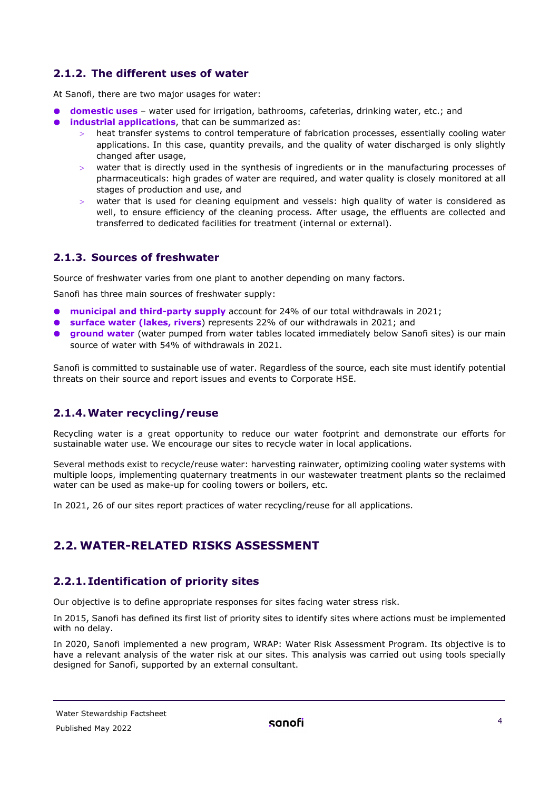## **2.1.2. The different uses of water**

At Sanofi, there are two major usages for water:

- **domestic uses** water used for irrigation, bathrooms, cafeterias, drinking water, etc.; and
- $\bullet$ **industrial applications**, that can be summarized as:
	- heat transfer systems to control temperature of fabrication processes, essentially cooling water applications. In this case, quantity prevails, and the quality of water discharged is only slightly changed after usage,
	- > water that is directly used in the synthesis of ingredients or in the manufacturing processes of pharmaceuticals: high grades of water are required, and water quality is closely monitored at all stages of production and use, and
	- > water that is used for cleaning equipment and vessels: high quality of water is considered as well, to ensure efficiency of the cleaning process. After usage, the effluents are collected and transferred to dedicated facilities for treatment (internal or external).

# **2.1.3. Sources of freshwater**

Source of freshwater varies from one plant to another depending on many factors.

Sanofi has three main sources of freshwater supply:

- **municipal and third-party supply** account for 24% of our total withdrawals in 2021;
- **surface water (lakes, rivers**) represents 22% of our withdrawals in 2021; and
- **ground water** (water pumped from water tables located immediately below Sanofi sites) is our main  $\bullet$ source of water with 54% of withdrawals in 2021.

Sanofi is committed to sustainable use of water. Regardless of the source, each site must identify potential threats on their source and report issues and events to Corporate HSE.

## **2.1.4.Water recycling/reuse**

Recycling water is a great opportunity to reduce our water footprint and demonstrate our efforts for sustainable water use. We encourage our sites to recycle water in local applications.

Several methods exist to recycle/reuse water: harvesting rainwater, optimizing cooling water systems with multiple loops, implementing quaternary treatments in our wastewater treatment plants so the reclaimed water can be used as make-up for cooling towers or boilers, etc.

<span id="page-3-0"></span>In 2021, 26 of our sites report practices of water recycling/reuse for all applications.

# **2.2. WATER-RELATED RISKS ASSESSMENT**

## **2.2.1. Identification of priority sites**

Our objective is to define appropriate responses for sites facing water stress risk.

In 2015, Sanofi has defined its first list of priority sites to identify sites where actions must be implemented with no delay.

In 2020, Sanofi implemented a new program, WRAP: Water Risk Assessment Program. Its objective is to have a relevant analysis of the water risk at our sites. This analysis was carried out using tools specially designed for Sanofi, supported by an external consultant.

Water Stewardship Factsheet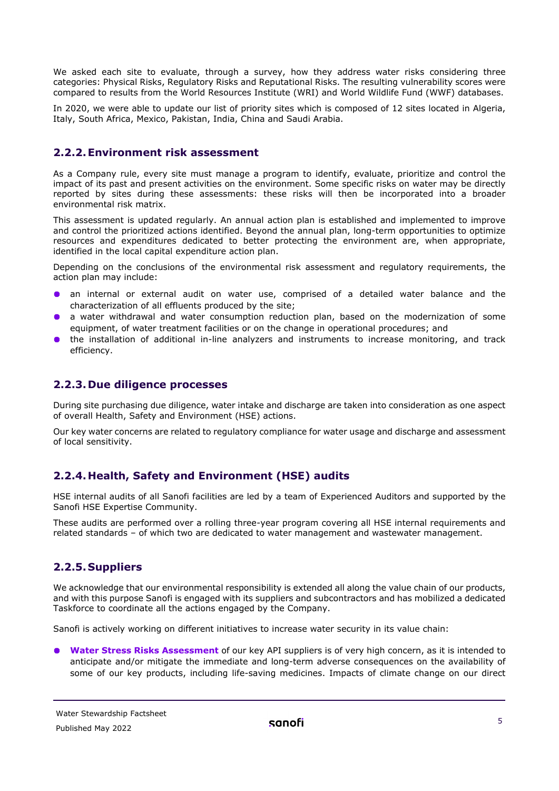We asked each site to evaluate, through a survey, how they address water risks considering three categories: Physical Risks, Regulatory Risks and Reputational Risks. The resulting vulnerability scores were compared to results from the World Resources Institute (WRI) and World Wildlife Fund (WWF) databases.

In 2020, we were able to update our list of priority sites which is composed of 12 sites located in Algeria, Italy, South Africa, Mexico, Pakistan, India, China and Saudi Arabia.

#### **2.2.2.Environment risk assessment**

As a Company rule, every site must manage a program to identify, evaluate, prioritize and control the impact of its past and present activities on the environment. Some specific risks on water may be directly reported by sites during these assessments: these risks will then be incorporated into a broader environmental risk matrix.

This assessment is updated regularly. An annual action plan is established and implemented to improve and control the prioritized actions identified. Beyond the annual plan, long-term opportunities to optimize resources and expenditures dedicated to better protecting the environment are, when appropriate, identified in the local capital expenditure action plan.

Depending on the conclusions of the environmental risk assessment and regulatory requirements, the action plan may include:

- an internal or external audit on water use, comprised of a detailed water balance and the characterization of all effluents produced by the site;
- a water withdrawal and water consumption reduction plan, based on the modernization of some equipment, of water treatment facilities or on the change in operational procedures; and
- **.** the installation of additional in-line analyzers and instruments to increase monitoring, and track efficiency.

#### **2.2.3.Due diligence processes**

During site purchasing due diligence, water intake and discharge are taken into consideration as one aspect of overall Health, Safety and Environment (HSE) actions.

Our key water concerns are related to regulatory compliance for water usage and discharge and assessment of local sensitivity.

## **2.2.4.Health, Safety and Environment (HSE) audits**

HSE internal audits of all Sanofi facilities are led by a team of Experienced Auditors and supported by the Sanofi HSE Expertise Community.

These audits are performed over a rolling three-year program covering all HSE internal requirements and related standards – of which two are dedicated to water management and wastewater management.

## **2.2.5.Suppliers**

We acknowledge that our environmental responsibility is extended all along the value chain of our products, and with this purpose Sanofi is engaged with its suppliers and subcontractors and has mobilized a dedicated Taskforce to coordinate all the actions engaged by the Company.

Sanofi is actively working on different initiatives to increase water security in its value chain:

**Water Stress Risks Assessment** of our key API suppliers is of very high concern, as it is intended to anticipate and/or mitigate the immediate and long-term adverse consequences on the availability of some of our key products, including life-saving medicines. Impacts of climate change on our direct

Water Stewardship Factsheet Published May 2022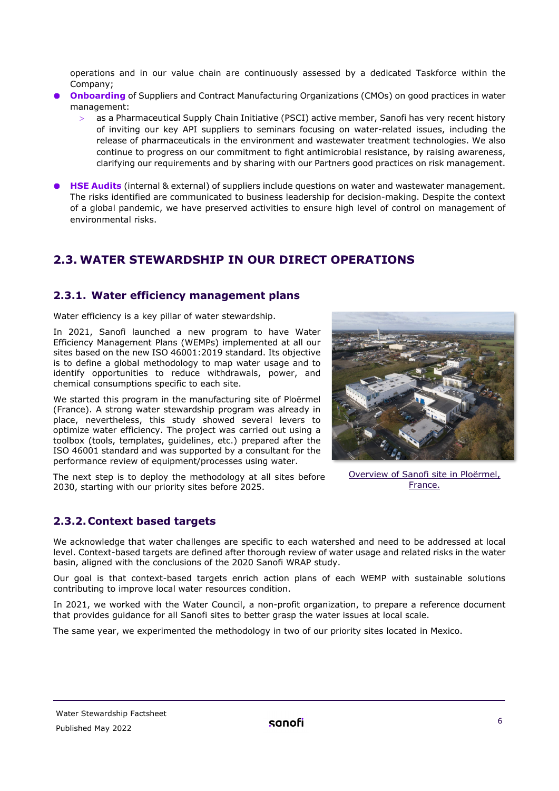operations and in our value chain are continuously assessed by a dedicated Taskforce within the Company;

- **Onboarding** of Suppliers and Contract Manufacturing Organizations (CMOs) on good practices in water management:
	- as a Pharmaceutical Supply Chain Initiative (PSCI) active member, Sanofi has very recent history of inviting our key API suppliers to seminars focusing on water-related issues, including the release of pharmaceuticals in the environment and wastewater treatment technologies. We also continue to progress on our commitment to fight antimicrobial resistance, by raising awareness, clarifying our requirements and by sharing with our Partners good practices on risk management.
- **HSE Audits** (internal & external) of suppliers include questions on water and wastewater management. The risks identified are communicated to business leadership for decision-making. Despite the context of a global pandemic, we have preserved activities to ensure high level of control on management of environmental risks.

# <span id="page-5-0"></span>**2.3. WATER STEWARDSHIP IN OUR DIRECT OPERATIONS**

## **2.3.1. Water efficiency management plans**

Water efficiency is a key pillar of water stewardship.

In 2021, Sanofi launched a new program to have Water Efficiency Management Plans (WEMPs) implemented at all our sites based on the new ISO 46001:2019 standard. Its objective is to define a global methodology to map water usage and to identify opportunities to reduce withdrawals, power, and chemical consumptions specific to each site.

We started this program in the manufacturing site of Ploërmel (France). A strong water stewardship program was already in place, nevertheless, this study showed several levers to optimize water efficiency. The project was carried out using a toolbox (tools, templates, guidelines, etc.) prepared after the ISO 46001 standard and was supported by a consultant for the performance review of equipment/processes using water.

The next step is to deploy the methodology at all sites before 2030, starting with our priority sites before 2025.

## **2.3.2.Context based targets**

We acknowledge that water challenges are specific to each watershed and need to be addressed at local level. Context-based targets are defined after thorough review of water usage and related risks in the water basin, aligned with the conclusions of the 2020 Sanofi WRAP study.

Our goal is that context-based targets enrich action plans of each WEMP with sustainable solutions contributing to improve local water resources condition.

In 2021, we worked with the Water Council, a non-profit organization, to prepare a reference document that provides guidance for all Sanofi sites to better grasp the water issues at local scale.

The same year, we experimented the methodology in two of our priority sites located in Mexico.



Overview of Sanofi site in Ploërmel, France.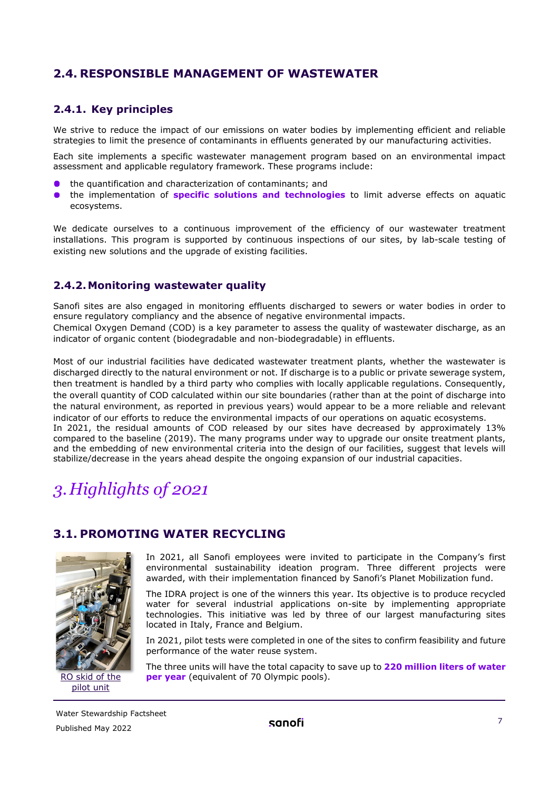# <span id="page-6-0"></span>**2.4. RESPONSIBLE MANAGEMENT OF WASTEWATER**

# **2.4.1. Key principles**

We strive to reduce the impact of our emissions on water bodies by implementing efficient and reliable strategies to limit the presence of contaminants in effluents generated by our manufacturing activities.

Each site implements a specific wastewater management program based on an environmental impact assessment and applicable regulatory framework. These programs include:

- the quantification and characterization of contaminants; and
- the implementation of **specific solutions and technologies** to limit adverse effects on aquatic  $\bullet$ ecosystems.

We dedicate ourselves to a continuous improvement of the efficiency of our wastewater treatment installations. This program is supported by continuous inspections of our sites, by lab-scale testing of existing new solutions and the upgrade of existing facilities.

## **2.4.2.Monitoring wastewater quality**

Sanofi sites are also engaged in monitoring effluents discharged to sewers or water bodies in order to ensure regulatory compliancy and the absence of negative environmental impacts. Chemical Oxygen Demand (COD) is a key parameter to assess the quality of wastewater discharge, as an indicator of organic content (biodegradable and non-biodegradable) in effluents.

Most of our industrial facilities have dedicated wastewater treatment plants, whether the wastewater is discharged directly to the natural environment or not. If discharge is to a public or private sewerage system, then treatment is handled by a third party who complies with locally applicable regulations. Consequently, the overall quantity of COD calculated within our site boundaries (rather than at the point of discharge into the natural environment, as reported in previous years) would appear to be a more reliable and relevant indicator of our efforts to reduce the environmental impacts of our operations on aquatic ecosystems. In 2021, the residual amounts of COD released by our sites have decreased by approximately 13% compared to the baseline (2019). The many programs under way to upgrade our onsite treatment plants, and the embedding of new environmental criteria into the design of our facilities, suggest that levels will stabilize/decrease in the years ahead despite the ongoing expansion of our industrial capacities.

# <span id="page-6-1"></span>*3.Highlights of 2021*

# <span id="page-6-2"></span>**3.1. PROMOTING WATER RECYCLING**



pilot unit

In 2021, all Sanofi employees were invited to participate in the Company's first environmental sustainability ideation program. Three different projects were awarded, with their implementation financed by Sanofi's Planet Mobilization fund.

The IDRA project is one of the winners this year. Its objective is to produce recycled water for several industrial applications on-site by implementing appropriate technologies. This initiative was led by three of our largest manufacturing sites located in Italy, France and Belgium.

In 2021, pilot tests were completed in one of the sites to confirm feasibility and future performance of the water reuse system.

The three units will have the total capacity to save up to **220 million liters of water**  RO skid of the **per year** (equivalent of 70 Olympic pools).

Water Stewardship Factsheet Published May 2022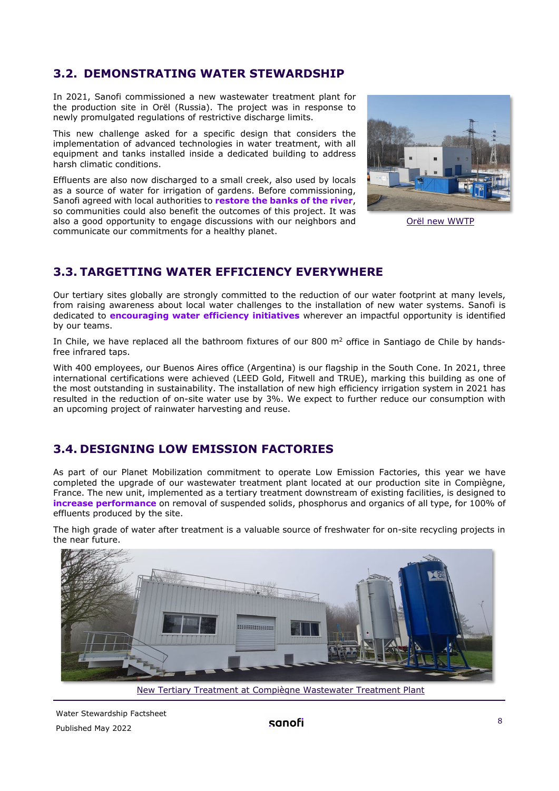# <span id="page-7-0"></span>**3.2. DEMONSTRATING WATER STEWARDSHIP**

In 2021, Sanofi commissioned a new wastewater treatment plant for the production site in Orël (Russia). The project was in response to newly promulgated regulations of restrictive discharge limits.

This new challenge asked for a specific design that considers the implementation of advanced technologies in water treatment, with all equipment and tanks installed inside a dedicated building to address harsh climatic conditions.

Effluents are also now discharged to a small creek, also used by locals as a source of water for irrigation of gardens. Before commissioning, Sanofi agreed with local authorities to **restore the banks of the river**, so communities could also benefit the outcomes of this project. It was also a good opportunity to engage discussions with our neighbors and communicate our commitments for a healthy planet.



Orël new WWTP

# <span id="page-7-1"></span>**3.3. TARGETTING WATER EFFICIENCY EVERYWHERE**

Our tertiary sites globally are strongly committed to the reduction of our water footprint at many levels, from raising awareness about local water challenges to the installation of new water systems. Sanofi is dedicated to **encouraging water efficiency initiatives** wherever an impactful opportunity is identified by our teams.

In Chile, we have replaced all the bathroom fixtures of our 800  $m<sup>2</sup>$  office in Santiago de Chile by handsfree infrared taps.

With 400 employees, our Buenos Aires office (Argentina) is our flagship in the South Cone. In 2021, three international certifications were achieved (LEED Gold, Fitwell and TRUE), marking this building as one of the most outstanding in sustainability. The installation of new high efficiency irrigation system in 2021 has resulted in the reduction of on-site water use by 3%. We expect to further reduce our consumption with an upcoming project of rainwater harvesting and reuse.

# <span id="page-7-2"></span>**3.4. DESIGNING LOW EMISSION FACTORIES**

As part of our Planet Mobilization commitment to operate Low Emission Factories, this year we have completed the upgrade of our wastewater treatment plant located at our production site in Compiègne, France. The new unit, implemented as a tertiary treatment downstream of existing facilities, is designed to **increase performance** on removal of suspended solids, phosphorus and organics of all type, for 100% of effluents produced by the site.

The high grade of water after treatment is a valuable source of freshwater for on-site recycling projects in the near future.



New Tertiary Treatment at Compiègne Wastewater Treatment Plant

Water Stewardship Factsheet Published May 2022